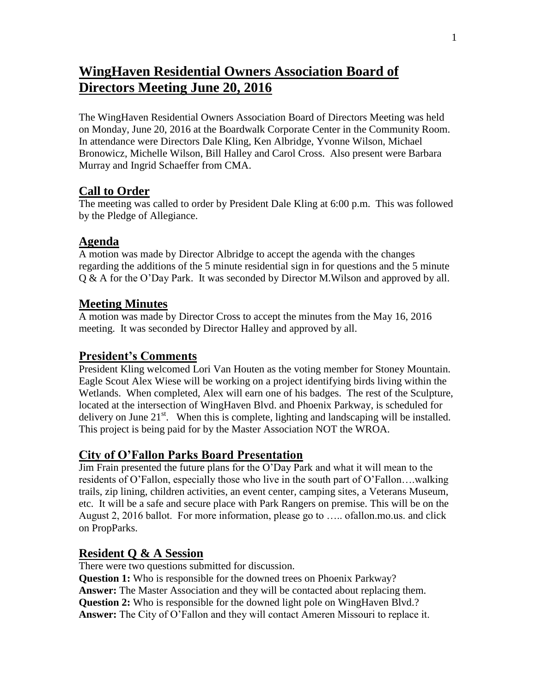# **WingHaven Residential Owners Association Board of Directors Meeting June 20, 2016**

The WingHaven Residential Owners Association Board of Directors Meeting was held on Monday, June 20, 2016 at the Boardwalk Corporate Center in the Community Room. In attendance were Directors Dale Kling, Ken Albridge, Yvonne Wilson, Michael Bronowicz, Michelle Wilson, Bill Halley and Carol Cross. Also present were Barbara Murray and Ingrid Schaeffer from CMA.

# **Call to Order**

The meeting was called to order by President Dale Kling at 6:00 p.m. This was followed by the Pledge of Allegiance.

## **Agenda**

A motion was made by Director Albridge to accept the agenda with the changes regarding the additions of the 5 minute residential sign in for questions and the 5 minute Q & A for the O'Day Park. It was seconded by Director M.Wilson and approved by all.

## **Meeting Minutes**

A motion was made by Director Cross to accept the minutes from the May 16, 2016 meeting. It was seconded by Director Halley and approved by all.

#### **President's Comments**

President Kling welcomed Lori Van Houten as the voting member for Stoney Mountain. Eagle Scout Alex Wiese will be working on a project identifying birds living within the Wetlands. When completed, Alex will earn one of his badges. The rest of the Sculpture, located at the intersection of WingHaven Blvd. and Phoenix Parkway, is scheduled for delivery on June  $21<sup>st</sup>$ . When this is complete, lighting and landscaping will be installed. This project is being paid for by the Master Association NOT the WROA.

#### **City of O'Fallon Parks Board Presentation**

Jim Frain presented the future plans for the O'Day Park and what it will mean to the residents of O'Fallon, especially those who live in the south part of O'Fallon….walking trails, zip lining, children activities, an event center, camping sites, a Veterans Museum, etc. It will be a safe and secure place with Park Rangers on premise. This will be on the August 2, 2016 ballot. For more information, please go to ….. ofallon.mo.us. and click on PropParks.

# **Resident Q & A Session**

There were two questions submitted for discussion.

**Question 1:** Who is responsible for the downed trees on Phoenix Parkway? **Answer:** The Master Association and they will be contacted about replacing them. **Question 2:** Who is responsible for the downed light pole on WingHaven Blvd.? **Answer:** The City of O'Fallon and they will contact Ameren Missouri to replace it.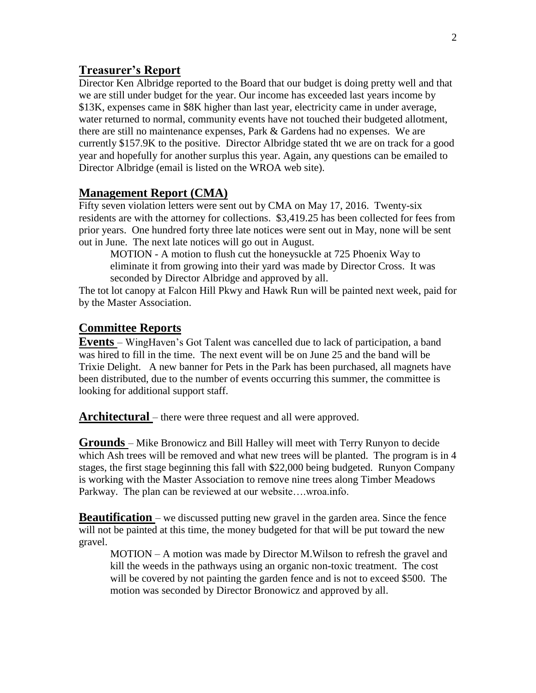#### **Treasurer's Report**

Director Ken Albridge reported to the Board that our budget is doing pretty well and that we are still under budget for the year. Our income has exceeded last years income by \$13K, expenses came in \$8K higher than last year, electricity came in under average, water returned to normal, community events have not touched their budgeted allotment, there are still no maintenance expenses, Park & Gardens had no expenses. We are currently \$157.9K to the positive. Director Albridge stated tht we are on track for a good year and hopefully for another surplus this year. Again, any questions can be emailed to Director Albridge (email is listed on the WROA web site).

#### **Management Report (CMA)**

Fifty seven violation letters were sent out by CMA on May 17, 2016. Twenty-six residents are with the attorney for collections. \$3,419.25 has been collected for fees from prior years. One hundred forty three late notices were sent out in May, none will be sent out in June. The next late notices will go out in August.

MOTION - A motion to flush cut the honeysuckle at 725 Phoenix Way to eliminate it from growing into their yard was made by Director Cross. It was seconded by Director Albridge and approved by all.

The tot lot canopy at Falcon Hill Pkwy and Hawk Run will be painted next week, paid for by the Master Association.

#### **Committee Reports**

**Events** – WingHaven's Got Talent was cancelled due to lack of participation, a band was hired to fill in the time. The next event will be on June 25 and the band will be Trixie Delight. A new banner for Pets in the Park has been purchased, all magnets have been distributed, due to the number of events occurring this summer, the committee is looking for additional support staff.

**Architectural** – there were three request and all were approved.

**Grounds** – Mike Bronowicz and Bill Halley will meet with Terry Runyon to decide which Ash trees will be removed and what new trees will be planted. The program is in 4 stages, the first stage beginning this fall with \$22,000 being budgeted. Runyon Company is working with the Master Association to remove nine trees along Timber Meadows Parkway. The plan can be reviewed at our website….wroa.info.

**Beautification** – we discussed putting new gravel in the garden area. Since the fence will not be painted at this time, the money budgeted for that will be put toward the new gravel.

MOTION – A motion was made by Director M.Wilson to refresh the gravel and kill the weeds in the pathways using an organic non-toxic treatment. The cost will be covered by not painting the garden fence and is not to exceed \$500. The motion was seconded by Director Bronowicz and approved by all.